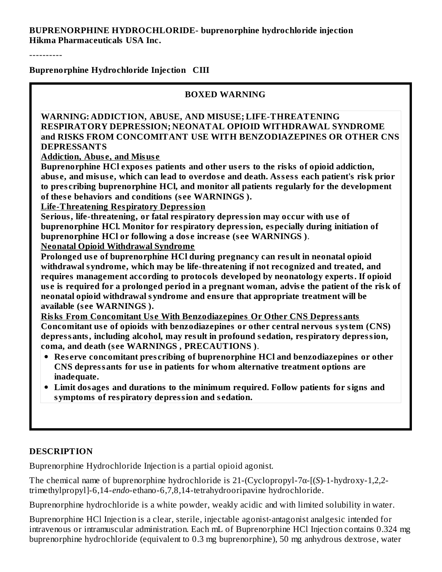**BUPRENORPHINE HYDROCHLORIDE- buprenorphine hydrochloride injection Hikma Pharmaceuticals USA Inc.**

----------

**Buprenorphine Hydrochloride Injection CIII**

#### **BOXED WARNING**

**WARNING: ADDICTION, ABUSE, AND MISUSE; LIFE-THREATENING RESPIRATORY DEPRESSION; NEONATAL OPIOID WITHDRAWAL SYNDROME and RISKS FROM CONCOMITANT USE WITH BENZODIAZEPINES OR OTHER CNS DEPRESSANTS**

**Addiction, Abus e, and Misus e**

**Buprenorphine HCl expos es patients and other us ers to the risks of opioid addiction,**  $|$ abuse, and misuse, which can lead to overdose and death. Assess each patient's risk prior **to pres cribing buprenorphine HCl, and monitor all patients regularly for the development of thes e behaviors and conditions (s ee WARNINGS ).**

**Life-Threatening Respiratory Depression**

**Serious, life-threatening, or fatal respiratory depression may occur with us e of buprenorphine HCl. Monitor for respiratory depression, especially during initiation of buprenorphine HCl or following a dos e increas e (s ee WARNINGS )**. **Neonatal Opioid Withdrawal Syndrome**

**Prolonged us e of buprenorphine HCl during pregnancy can result in neonatal opioid withdrawal syndrome, which may be life-threatening if not recognized and treated, and requires management according to protocols developed by neonatology experts. If opioid** use is required for a prolonged period in a pregnant woman, advise the patient of the risk of **neonatal opioid withdrawal syndrome and ensure that appropriate treatment will be available (s ee WARNINGS ).**

**Risks From Concomitant Us e With Benzodiazepines Or Other CNS Depressants Concomitant us e of opioids with benzodiazepines or other central nervous system (CNS) depressants, including alcohol, may result in profound s edation, respiratory depression, coma, and death (s ee WARNINGS , PRECAUTIONS )**.

- **Res erve concomitant pres cribing of buprenorphine HCl and benzodiazepines or other CNS depressants for us e in patients for whom alternative treatment options are inadequate.**
- **Limit dosages and durations to the minimum required. Follow patients for signs and symptoms of respiratory depression and s edation.**

### **DESCRIPTION**

Buprenorphine Hydrochloride Injection is a partial opioid agonist.

The chemical name of buprenorphine hydrochloride is 21-(Cyclopropyl-7α-[(*S*)-1-hydroxy-1,2,2 trimethylpropyl]-6,14-*endo*-ethano-6,7,8,14-tetrahydrooripavine hydrochloride.

Buprenorphine hydrochloride is a white powder, weakly acidic and with limited solubility in water.

Buprenorphine HCl Injection is a clear, sterile, injectable agonist-antagonist analgesic intended for intravenous or intramuscular administration. Each mL of Buprenorphine HCl Injection contains 0.324 mg buprenorphine hydrochloride (equivalent to 0.3 mg buprenorphine), 50 mg anhydrous dextrose, water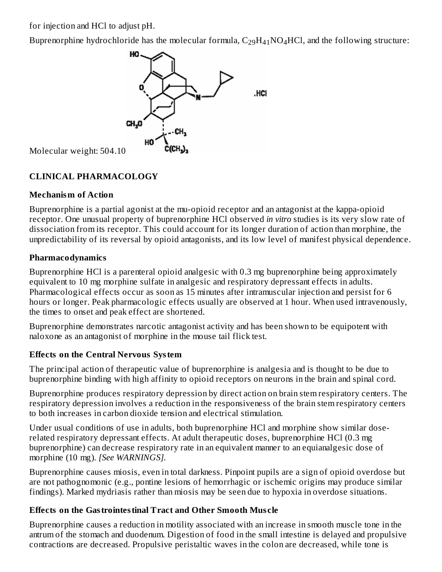for injection and HCl to adjust pH.

Buprenorphine hydrochloride has the molecular formula,  $\rm{C_{29}H_{41}NO_4HCl}$ , and the following structure:



Molecular weight: 504.10

# **CLINICAL PHARMACOLOGY**

### **Mechanism of Action**

Buprenorphine is a partial agonist at the mu-opioid receptor and an antagonist at the kappa-opioid receptor. One unusual property of buprenorphine HCl observed *in vitro* studies is its very slow rate of dissociation from its receptor. This could account for its longer duration of action than morphine, the unpredictability of its reversal by opioid antagonists, and its low level of manifest physical dependence.

## **Pharmacodynamics**

Buprenorphine HCl is a parenteral opioid analgesic with 0.3 mg buprenorphine being approximately equivalent to 10 mg morphine sulfate in analgesic and respiratory depressant effects in adults. Pharmacological effects occur as soon as 15 minutes after intramuscular injection and persist for 6 hours or longer. Peak pharmacologic effects usually are observed at 1 hour. When used intravenously, the times to onset and peak effect are shortened.

Buprenorphine demonstrates narcotic antagonist activity and has been shown to be equipotent with naloxone as an antagonist of morphine in the mouse tail flick test.

## **Effects on the Central Nervous System**

The principal action of therapeutic value of buprenorphine is analgesia and is thought to be due to buprenorphine binding with high affinity to opioid receptors on neurons in the brain and spinal cord.

Buprenorphine produces respiratory depression by direct action on brain stem respiratory centers. The respiratory depression involves a reduction in the responsiveness of the brain stem respiratory centers to both increases in carbon dioxide tension and electrical stimulation.

Under usual conditions of use in adults, both buprenorphine HCl and morphine show similar doserelated respiratory depressant effects. At adult therapeutic doses, buprenorphine HCl (0.3 mg buprenorphine) can decrease respiratory rate in an equivalent manner to an equianalgesic dose of morphine (10 mg). *[See WARNINGS].*

Buprenorphine causes miosis, even in total darkness. Pinpoint pupils are a sign of opioid overdose but are not pathognomonic (e.g., pontine lesions of hemorrhagic or ischemic origins may produce similar findings). Marked mydriasis rather than miosis may be seen due to hypoxia in overdose situations.

## **Effects on the Gastrointestinal Tract and Other Smooth Mus cle**

Buprenorphine causes a reduction in motility associated with an increase in smooth muscle tone in the antrum of the stomach and duodenum. Digestion of food in the small intestine is delayed and propulsive contractions are decreased. Propulsive peristaltic waves in the colon are decreased, while tone is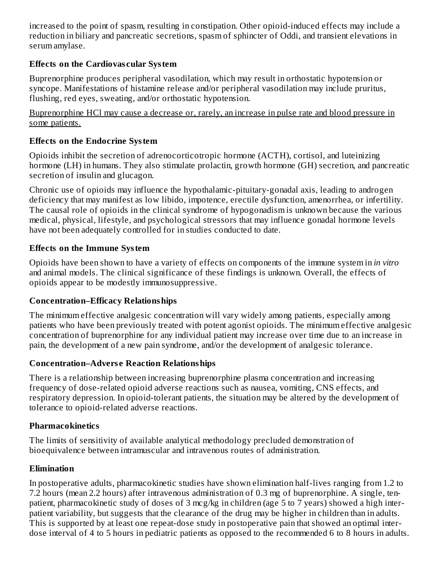increased to the point of spasm, resulting in constipation. Other opioid-induced effects may include a reduction in biliary and pancreatic secretions, spasm of sphincter of Oddi, and transient elevations in serum amylase.

## **Effects on the Cardiovas cular System**

Buprenorphine produces peripheral vasodilation, which may result in orthostatic hypotension or syncope. Manifestations of histamine release and/or peripheral vasodilation may include pruritus, flushing, red eyes, sweating, and/or orthostatic hypotension.

Buprenorphine HCl may cause a decrease or, rarely, an increase in pulse rate and blood pressure in some patients.

### **Effects on the Endocrine System**

Opioids inhibit the secretion of adrenocorticotropic hormone (ACTH), cortisol, and luteinizing hormone (LH) in humans. They also stimulate prolactin, growth hormone (GH) secretion, and pancreatic secretion of insulin and glucagon.

Chronic use of opioids may influence the hypothalamic-pituitary-gonadal axis, leading to androgen deficiency that may manifest as low libido, impotence, erectile dysfunction, amenorrhea, or infertility. The causal role of opioids in the clinical syndrome of hypogonadism is unknown because the various medical, physical, lifestyle, and psychological stressors that may influence gonadal hormone levels have not been adequately controlled for in studies conducted to date.

## **Effects on the Immune System**

Opioids have been shown to have a variety of effects on components of the immune system in *in vitro* and animal models. The clinical significance of these findings is unknown. Overall, the effects of opioids appear to be modestly immunosuppressive.

### **Concentration–Efficacy Relationships**

The minimum effective analgesic concentration will vary widely among patients, especially among patients who have been previously treated with potent agonist opioids. The minimum effective analgesic concentration of buprenorphine for any individual patient may increase over time due to an increase in pain, the development of a new pain syndrome, and/or the development of analgesic tolerance.

### **Concentration–Advers e Reaction Relationships**

There is a relationship between increasing buprenorphine plasma concentration and increasing frequency of dose-related opioid adverse reactions such as nausea, vomiting, CNS effects, and respiratory depression. In opioid-tolerant patients, the situation may be altered by the development of tolerance to opioid-related adverse reactions.

### **Pharmacokinetics**

The limits of sensitivity of available analytical methodology precluded demonstration of bioequivalence between intramuscular and intravenous routes of administration.

### **Elimination**

In postoperative adults, pharmacokinetic studies have shown elimination half-lives ranging from 1.2 to 7.2 hours (mean 2.2 hours) after intravenous administration of 0.3 mg of buprenorphine. A single, tenpatient, pharmacokinetic study of doses of 3 mcg/kg in children (age 5 to 7 years) showed a high interpatient variability, but suggests that the clearance of the drug may be higher in children than in adults. This is supported by at least one repeat-dose study in postoperative pain that showed an optimal interdose interval of 4 to 5 hours in pediatric patients as opposed to the recommended 6 to 8 hours in adults.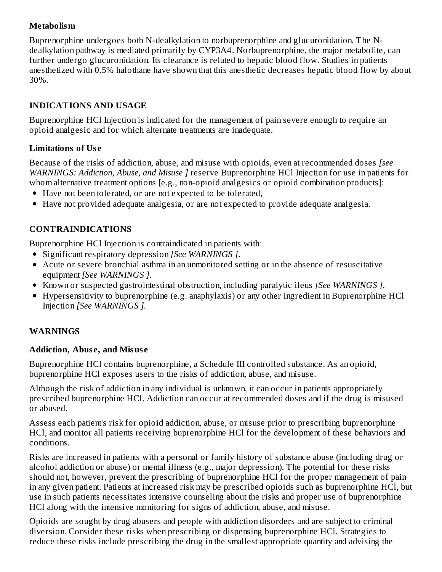### **Metabolism**

Buprenorphine undergoes both N-dealkylation to norbuprenorphine and glucuronidation. The Ndealkylation pathway is mediated primarily by CYP3A4. Norbuprenorphine, the major metabolite, can further undergo glucuronidation. Its clearance is related to hepatic blood flow. Studies in patients anesthetized with 0.5% halothane have shown that this anesthetic decreases hepatic blood flow by about 30%.

## **INDICATIONS AND USAGE**

Buprenorphine HCl Injection is indicated for the management of pain severe enough to require an opioid analgesic and for which alternate treatments are inadequate.

### **Limitations of Us e**

Because of the risks of addiction, abuse, and misuse with opioids, even at recommended doses *[see WARNINGS: Addiction, Abuse, and Misuse ]* reserve Buprenorphine HCl Injection for use in patients for whom alternative treatment options [e.g., non-opioid analgesics or opioid combination products]:

- Have not been tolerated, or are not expected to be tolerated,
- Have not provided adequate analgesia, or are not expected to provide adequate analgesia.

## **CONTRAINDICATIONS**

Buprenorphine HCl Injection is contraindicated in patients with:

- Significant respiratory depression *[See WARNINGS ]*.
- Acute or severe bronchial asthma in an unmonitored setting or in the absence of resuscitative equipment *[See WARNINGS ].*
- Known or suspected gastrointestinal obstruction, including paralytic ileus *[See WARNINGS ]*.
- Hypersensitivity to buprenorphine (e.g. anaphylaxis) or any other ingredient in Buprenorphine HCl Injection *[See WARNINGS ].*

### **WARNINGS**

### **Addiction, Abus e, and Misus e**

Buprenorphine HCl contains buprenorphine, a Schedule III controlled substance. As an opioid, buprenorphine HCl exposes users to the risks of addiction, abuse, and misuse.

Although the risk of addiction in any individual is unknown, it can occur in patients appropriately prescribed buprenorphine HCl. Addiction can occur at recommended doses and if the drug is misused or abused.

Assess each patient's risk for opioid addiction, abuse, or misuse prior to prescribing buprenorphine HCl, and monitor all patients receiving buprenorphine HCl for the development of these behaviors and conditions.

Risks are increased in patients with a personal or family history of substance abuse (including drug or alcohol addiction or abuse) or mental illness (e.g., major depression). The potential for these risks should not, however, prevent the prescribing of buprenorphine HCl for the proper management of pain in any given patient. Patients at increased risk may be prescribed opioids such as buprenorphine HCl, but use in such patients necessitates intensive counseling about the risks and proper use of buprenorphine HCl along with the intensive monitoring for signs of addiction, abuse, and misuse.

Opioids are sought by drug abusers and people with addiction disorders and are subject to criminal diversion. Consider these risks when prescribing or dispensing buprenorphine HCl. Strategies to reduce these risks include prescribing the drug in the smallest appropriate quantity and advising the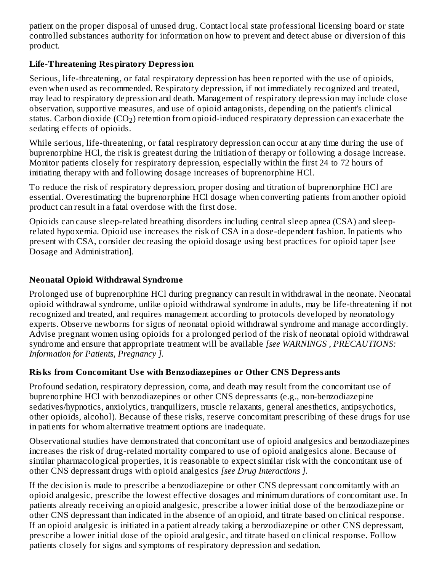patient on the proper disposal of unused drug. Contact local state professional licensing board or state controlled substances authority for information on how to prevent and detect abuse or diversion of this product.

## **Life-Threatening Respiratory Depression**

Serious, life-threatening, or fatal respiratory depression has been reported with the use of opioids, even when used as recommended. Respiratory depression, if not immediately recognized and treated, may lead to respiratory depression and death. Management of respiratory depression may include close observation, supportive measures, and use of opioid antagonists, depending on the patient's clinical status. Carbon dioxide  ${\rm (CO_2)}$  retention from opioid-induced respiratory depression can exacerbate the sedating effects of opioids.

While serious, life-threatening, or fatal respiratory depression can occur at any time during the use of buprenorphine HCl, the risk is greatest during the initiation of therapy or following a dosage increase. Monitor patients closely for respiratory depression, especially within the first 24 to 72 hours of initiating therapy with and following dosage increases of buprenorphine HCl.

To reduce the risk of respiratory depression, proper dosing and titration of buprenorphine HCl are essential. Overestimating the buprenorphine HCl dosage when converting patients from another opioid product can result in a fatal overdose with the first dose.

Opioids can cause sleep-related breathing disorders including central sleep apnea (CSA) and sleeprelated hypoxemia. Opioid use increases the risk of CSA in a dose-dependent fashion. In patients who present with CSA, consider decreasing the opioid dosage using best practices for opioid taper [see Dosage and Administration].

### **Neonatal Opioid Withdrawal Syndrome**

Prolonged use of buprenorphine HCl during pregnancy can result in withdrawal in the neonate. Neonatal opioid withdrawal syndrome, unlike opioid withdrawal syndrome in adults, may be life-threatening if not recognized and treated, and requires management according to protocols developed by neonatology experts. Observe newborns for signs of neonatal opioid withdrawal syndrome and manage accordingly. Advise pregnant women using opioids for a prolonged period of the risk of neonatal opioid withdrawal syndrome and ensure that appropriate treatment will be available *[see WARNINGS , PRECAUTIONS: Information for Patients, Pregnancy ].*

### **Risks from Concomitant Us e with Benzodiazepines or Other CNS Depressants**

Profound sedation, respiratory depression, coma, and death may result from the concomitant use of buprenorphine HCl with benzodiazepines or other CNS depressants (e.g., non-benzodiazepine sedatives/hypnotics, anxiolytics, tranquilizers, muscle relaxants, general anesthetics, antipsychotics, other opioids, alcohol). Because of these risks, reserve concomitant prescribing of these drugs for use in patients for whom alternative treatment options are inadequate.

Observational studies have demonstrated that concomitant use of opioid analgesics and benzodiazepines increases the risk of drug-related mortality compared to use of opioid analgesics alone. Because of similar pharmacological properties, it is reasonable to expect similar risk with the concomitant use of other CNS depressant drugs with opioid analgesics *[see Drug Interactions ].*

If the decision is made to prescribe a benzodiazepine or other CNS depressant concomitantly with an opioid analgesic, prescribe the lowest effective dosages and minimum durations of concomitant use. In patients already receiving an opioid analgesic, prescribe a lower initial dose of the benzodiazepine or other CNS depressant than indicated in the absence of an opioid, and titrate based on clinical response. If an opioid analgesic is initiated in a patient already taking a benzodiazepine or other CNS depressant, prescribe a lower initial dose of the opioid analgesic, and titrate based on clinical response. Follow patients closely for signs and symptoms of respiratory depression and sedation.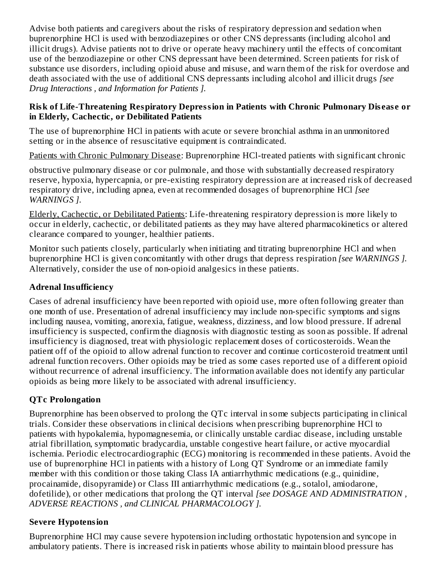Advise both patients and caregivers about the risks of respiratory depression and sedation when buprenorphine HCl is used with benzodiazepines or other CNS depressants (including alcohol and illicit drugs). Advise patients not to drive or operate heavy machinery until the effects of concomitant use of the benzodiazepine or other CNS depressant have been determined. Screen patients for risk of substance use disorders, including opioid abuse and misuse, and warn them of the risk for overdose and death associated with the use of additional CNS depressants including alcohol and illicit drugs *[see Drug Interactions , and Information for Patients ].*

#### **Risk of Life-Threatening Respiratory Depression in Patients with Chronic Pulmonary Dis eas e or in Elderly, Cachectic, or Debilitated Patients**

The use of buprenorphine HCl in patients with acute or severe bronchial asthma in an unmonitored setting or in the absence of resuscitative equipment is contraindicated.

Patients with Chronic Pulmonary Disease: Buprenorphine HCl-treated patients with significant chronic

obstructive pulmonary disease or cor pulmonale, and those with substantially decreased respiratory reserve, hypoxia, hypercapnia, or pre-existing respiratory depression are at increased risk of decreased respiratory drive, including apnea, even at recommended dosages of buprenorphine HCl *[see WARNINGS ]*.

Elderly, Cachectic, or Debilitated Patients: Life-threatening respiratory depression is more likely to occur in elderly, cachectic, or debilitated patients as they may have altered pharmacokinetics or altered clearance compared to younger, healthier patients.

Monitor such patients closely, particularly when initiating and titrating buprenorphine HCl and when buprenorphine HCl is given concomitantly with other drugs that depress respiration *[see WARNINGS ].* Alternatively, consider the use of non-opioid analgesics in these patients.

### **Adrenal Insufficiency**

Cases of adrenal insufficiency have been reported with opioid use, more often following greater than one month of use. Presentation of adrenal insufficiency may include non-specific symptoms and signs including nausea, vomiting, anorexia, fatigue, weakness, dizziness, and low blood pressure. If adrenal insufficiency is suspected, confirm the diagnosis with diagnostic testing as soon as possible. If adrenal insufficiency is diagnosed, treat with physiologic replacement doses of corticosteroids. Wean the patient off of the opioid to allow adrenal function to recover and continue corticosteroid treatment until adrenal function recovers. Other opioids may be tried as some cases reported use of a different opioid without recurrence of adrenal insufficiency. The information available does not identify any particular opioids as being more likely to be associated with adrenal insufficiency.

## **QTc Prolongation**

Buprenorphine has been observed to prolong the QTc interval in some subjects participating in clinical trials. Consider these observations in clinical decisions when prescribing buprenorphine HCl to patients with hypokalemia, hypomagnesemia, or clinically unstable cardiac disease, including unstable atrial fibrillation, symptomatic bradycardia, unstable congestive heart failure, or active myocardial ischemia. Periodic electrocardiographic (ECG) monitoring is recommended in these patients. Avoid the use of buprenorphine HCl in patients with a history of Long QT Syndrome or an immediate family member with this condition or those taking Class IA antiarrhythmic medications (e.g., quinidine, procainamide, disopyramide) or Class III antiarrhythmic medications (e.g., sotalol, amiodarone, dofetilide), or other medications that prolong the QT interval *[see DOSAGE AND ADMINISTRATION , ADVERSE REACTIONS , and CLINICAL PHARMACOLOGY ].*

## **Severe Hypotension**

Buprenorphine HCl may cause severe hypotension including orthostatic hypotension and syncope in ambulatory patients. There is increased risk in patients whose ability to maintain blood pressure has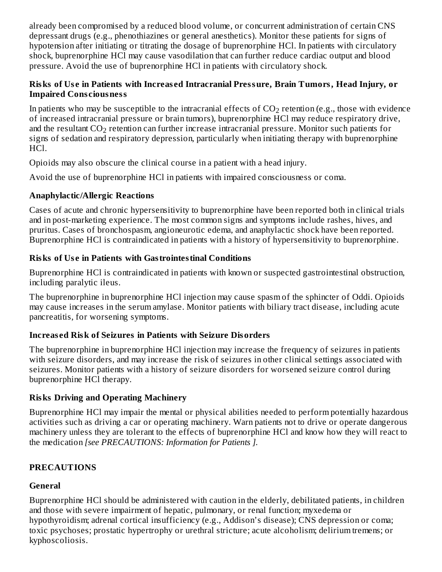already been compromised by a reduced blood volume, or concurrent administration of certain CNS depressant drugs (e.g., phenothiazines or general anesthetics). Monitor these patients for signs of hypotension after initiating or titrating the dosage of buprenorphine HCl. In patients with circulatory shock, buprenorphine HCl may cause vasodilation that can further reduce cardiac output and blood pressure. Avoid the use of buprenorphine HCl in patients with circulatory shock.

### **Risks of Us e in Patients with Increas ed Intracranial Pressure, Brain Tumors, Head Injury, or Impaired Cons ciousness**

In patients who may be susceptible to the intracranial effects of  $\mathrm{CO}_2$  retention (e.g., those with evidence of increased intracranial pressure or brain tumors), buprenorphine HCl may reduce respiratory drive, and the resultant  $\mathrm{CO}_2$  retention can further increase intracranial pressure. Monitor such patients for signs of sedation and respiratory depression, particularly when initiating therapy with buprenorphine HCl.

Opioids may also obscure the clinical course in a patient with a head injury.

Avoid the use of buprenorphine HCl in patients with impaired consciousness or coma.

# **Anaphylactic/Allergic Reactions**

Cases of acute and chronic hypersensitivity to buprenorphine have been reported both in clinical trials and in post-marketing experience. The most common signs and symptoms include rashes, hives, and pruritus. Cases of bronchospasm, angioneurotic edema, and anaphylactic shock have been reported. Buprenorphine HCl is contraindicated in patients with a history of hypersensitivity to buprenorphine.

# **Risks of Us e in Patients with Gastrointestinal Conditions**

Buprenorphine HCl is contraindicated in patients with known or suspected gastrointestinal obstruction, including paralytic ileus.

The buprenorphine in buprenorphine HCl injection may cause spasm of the sphincter of Oddi. Opioids may cause increases in the serum amylase. Monitor patients with biliary tract disease, including acute pancreatitis, for worsening symptoms.

# **Increas ed Risk of Seizures in Patients with Seizure Disorders**

The buprenorphine in buprenorphine HCl injection may increase the frequency of seizures in patients with seizure disorders, and may increase the risk of seizures in other clinical settings associated with seizures. Monitor patients with a history of seizure disorders for worsened seizure control during buprenorphine HCl therapy.

# **Risks Driving and Operating Machinery**

Buprenorphine HCl may impair the mental or physical abilities needed to perform potentially hazardous activities such as driving a car or operating machinery. Warn patients not to drive or operate dangerous machinery unless they are tolerant to the effects of buprenorphine HCl and know how they will react to the medication *[see PRECAUTIONS: Information for Patients ].*

# **PRECAUTIONS**

# **General**

Buprenorphine HCl should be administered with caution in the elderly, debilitated patients, in children and those with severe impairment of hepatic, pulmonary, or renal function; myxedema or hypothyroidism; adrenal cortical insufficiency (e.g., Addison's disease); CNS depression or coma; toxic psychoses; prostatic hypertrophy or urethral stricture; acute alcoholism; delirium tremens; or kyphoscoliosis.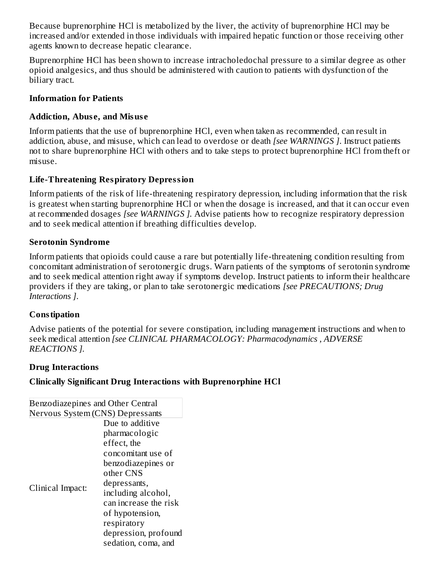Because buprenorphine HCl is metabolized by the liver, the activity of buprenorphine HCl may be increased and/or extended in those individuals with impaired hepatic function or those receiving other agents known to decrease hepatic clearance.

Buprenorphine HCl has been shown to increase intracholedochal pressure to a similar degree as other opioid analgesics, and thus should be administered with caution to patients with dysfunction of the biliary tract.

#### **Information for Patients**

#### **Addiction, Abus e, and Misus e**

Inform patients that the use of buprenorphine HCl, even when taken as recommended, can result in addiction, abuse, and misuse, which can lead to overdose or death *[see WARNINGS ]*. Instruct patients not to share buprenorphine HCl with others and to take steps to protect buprenorphine HCl from theft or misuse.

### **Life-Threatening Respiratory Depression**

Inform patients of the risk of life-threatening respiratory depression, including information that the risk is greatest when starting buprenorphine HCl or when the dosage is increased, and that it can occur even at recommended dosages *[see WARNINGS ].* Advise patients how to recognize respiratory depression and to seek medical attention if breathing difficulties develop.

#### **Serotonin Syndrome**

Inform patients that opioids could cause a rare but potentially life-threatening condition resulting from concomitant administration of serotonergic drugs. Warn patients of the symptoms of serotonin syndrome and to seek medical attention right away if symptoms develop. Instruct patients to inform their healthcare providers if they are taking, or plan to take serotonergic medications *[see PRECAUTIONS; Drug Interactions ]*.

#### **Constipation**

Advise patients of the potential for severe constipation, including management instructions and when to seek medical attention *[see CLINICAL PHARMACOLOGY: Pharmacodynamics , ADVERSE REACTIONS ].*

#### **Drug Interactions**

### **Clinically Significant Drug Interactions with Buprenorphine HCl**

| Benzodiazepines and Other Central |                       |  |  |
|-----------------------------------|-----------------------|--|--|
| Nervous System (CNS) Depressants  |                       |  |  |
|                                   | Due to additive       |  |  |
|                                   | pharmacologic         |  |  |
|                                   | effect, the           |  |  |
|                                   | concomitant use of    |  |  |
|                                   | benzodiazepines or    |  |  |
|                                   | other CNS             |  |  |
| Clinical Impact:                  | depressants,          |  |  |
|                                   | including alcohol,    |  |  |
|                                   | can increase the risk |  |  |
|                                   | of hypotension,       |  |  |
|                                   | respiratory           |  |  |
|                                   | depression, profound  |  |  |
|                                   | sedation, coma, and   |  |  |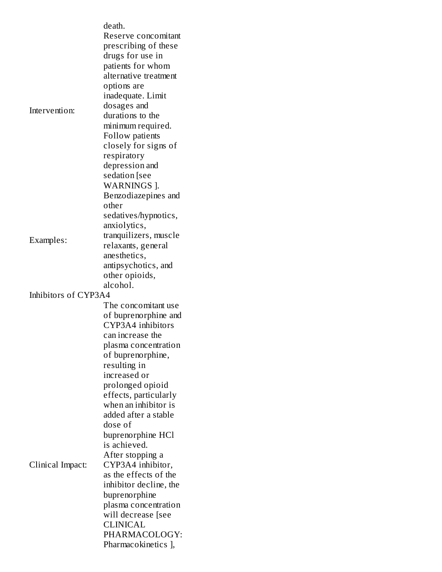| Intervention:        | death.<br>Reserve concomitant<br>prescribing of these<br>drugs for use in<br>patients for whom<br>alternative treatment<br>options are<br>inadequate. Limit<br>dosages and<br>durations to the<br>minimum required.<br>Follow patients<br>closely for signs of<br>respiratory<br>depression and<br>sedation [see<br><b>WARNINGS</b> ].<br>Benzodiazepines and |
|----------------------|---------------------------------------------------------------------------------------------------------------------------------------------------------------------------------------------------------------------------------------------------------------------------------------------------------------------------------------------------------------|
| Examples:            | other<br>sedatives/hypnotics,<br>anxiolytics,<br>tranquilizers, muscle<br>relaxants, general<br>anesthetics,<br>antipsychotics, and<br>other opioids,                                                                                                                                                                                                         |
| Inhibitors of CYP3A4 | alcohol.                                                                                                                                                                                                                                                                                                                                                      |
|                      | The concomitant use                                                                                                                                                                                                                                                                                                                                           |
|                      | of buprenorphine and                                                                                                                                                                                                                                                                                                                                          |
|                      | CYP3A4 inhibitors                                                                                                                                                                                                                                                                                                                                             |
|                      | can increase the                                                                                                                                                                                                                                                                                                                                              |
|                      | plasma concentration<br>of buprenorphine,                                                                                                                                                                                                                                                                                                                     |
|                      | resulting in                                                                                                                                                                                                                                                                                                                                                  |
|                      | increased or                                                                                                                                                                                                                                                                                                                                                  |
|                      | prolonged opioid                                                                                                                                                                                                                                                                                                                                              |
|                      | effects, particularly                                                                                                                                                                                                                                                                                                                                         |
|                      | when an inhibitor is                                                                                                                                                                                                                                                                                                                                          |
|                      | added after a stable                                                                                                                                                                                                                                                                                                                                          |
|                      | dose of                                                                                                                                                                                                                                                                                                                                                       |
|                      | buprenorphine HCl<br>is achieved.                                                                                                                                                                                                                                                                                                                             |
|                      | After stopping a                                                                                                                                                                                                                                                                                                                                              |
| Clinical Impact:     | CYP3A4 inhibitor,                                                                                                                                                                                                                                                                                                                                             |
|                      | as the effects of the                                                                                                                                                                                                                                                                                                                                         |
|                      | inhibitor decline, the                                                                                                                                                                                                                                                                                                                                        |
|                      | buprenorphine                                                                                                                                                                                                                                                                                                                                                 |
|                      | plasma concentration                                                                                                                                                                                                                                                                                                                                          |
|                      | will decrease [see<br><b>CLINICAL</b>                                                                                                                                                                                                                                                                                                                         |
|                      | PHARMACOLOGY:                                                                                                                                                                                                                                                                                                                                                 |
|                      | Pharmacokinetics ],                                                                                                                                                                                                                                                                                                                                           |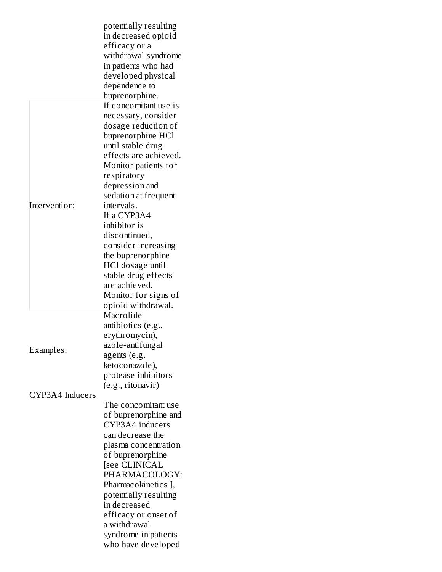|                 | potentially resulting |
|-----------------|-----------------------|
|                 | in decreased opioid   |
|                 | efficacy or a         |
|                 | withdrawal syndrome   |
|                 | in patients who had   |
|                 | developed physical    |
|                 | dependence to         |
|                 | buprenorphine.        |
|                 | If concomitant use is |
|                 | necessary, consider   |
|                 | dosage reduction of   |
|                 | buprenorphine HCl     |
|                 | until stable drug     |
|                 | effects are achieved. |
|                 | Monitor patients for  |
|                 | respiratory           |
|                 | depression and        |
|                 | sedation at frequent  |
| Intervention:   | intervals.            |
|                 | If a CYP3A4           |
|                 | inhibitor is          |
|                 |                       |
|                 | discontinued,         |
|                 | consider increasing   |
|                 | the buprenorphine     |
|                 | HCl dosage until      |
|                 | stable drug effects   |
|                 | are achieved.         |
|                 | Monitor for signs of  |
|                 | opioid withdrawal.    |
|                 | Macrolide             |
|                 | antibiotics (e.g.,    |
|                 | erythromycin),        |
| Examples:       | azole-antifungal      |
|                 | agents (e.g.          |
|                 | ketoconazole),        |
|                 | protease inhibitors   |
|                 | (e.g., ritonavir)     |
| CYP3A4 Inducers |                       |
|                 | The concomitant use   |
|                 | of buprenorphine and  |
|                 | CYP3A4 inducers       |
|                 | can decrease the      |
|                 | plasma concentration  |
|                 | of buprenorphine      |
|                 | [see CLINICAL         |
|                 | PHARMACOLOGY:         |
|                 | Pharmacokinetics ],   |
|                 | potentially resulting |
|                 | in decreased          |
|                 | efficacy or onset of  |
|                 | a withdrawal          |
|                 | syndrome in patients  |
|                 | who have developed    |
|                 |                       |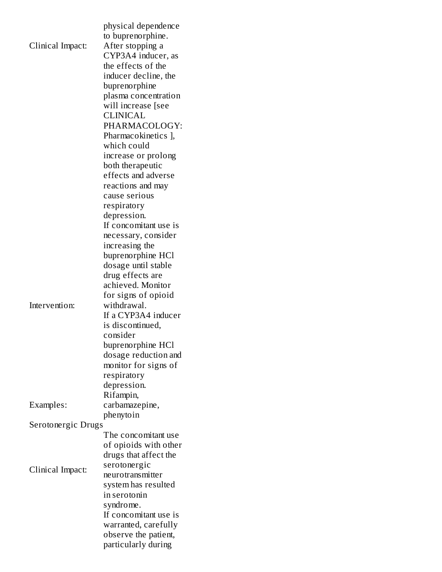|                    | physical dependence   |
|--------------------|-----------------------|
|                    | to buprenorphine.     |
| Clinical Impact:   | After stopping a      |
|                    | CYP3A4 inducer, as    |
|                    | the effects of the    |
|                    | inducer decline, the  |
|                    | buprenorphine         |
|                    | plasma concentration  |
|                    | will increase [see    |
|                    | <b>CLINICAL</b>       |
|                    | PHARMACOLOGY:         |
|                    | Pharmacokinetics ],   |
|                    | which could           |
|                    | increase or prolong   |
|                    | both therapeutic      |
|                    | effects and adverse   |
|                    | reactions and may     |
|                    | cause serious         |
|                    | respiratory           |
|                    | depression.           |
|                    | If concomitant use is |
|                    | necessary, consider   |
|                    | increasing the        |
|                    | buprenorphine HCl     |
|                    | dosage until stable   |
|                    | drug effects are      |
|                    | achieved. Monitor     |
|                    | for signs of opioid   |
| Intervention:      | withdrawal.           |
|                    | If a CYP3A4 inducer   |
|                    | is discontinued,      |
|                    | consider              |
|                    | buprenorphine HCl     |
|                    | dosage reduction and  |
|                    | monitor for signs of  |
|                    | respiratory           |
|                    | depression.           |
|                    | Rifampin,             |
| Examples:          | carbamazepine,        |
|                    | phenytoin             |
| Serotonergic Drugs | The concomitant use   |
|                    | of opioids with other |
|                    | drugs that affect the |
|                    | serotonergic          |
| Clinical Impact:   | neurotransmitter      |
|                    | system has resulted   |
|                    | in serotonin          |
|                    | syndrome.             |
|                    | If concomitant use is |
|                    | warranted, carefully  |
|                    | observe the patient,  |
|                    | particularly during   |
|                    |                       |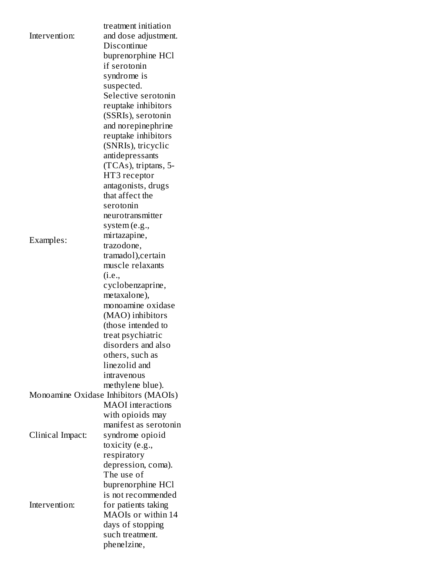| treatment initiation<br>and dose adjustment.<br>Discontinue<br>buprenorphine HCl<br>if serotonin<br>syndrome is<br>suspected.<br>Selective serotonin<br>reuptake inhibitors<br>(SSRIs), serotonin<br>and norepinephrine<br>reuptake inhibitors<br>(SNRIs), tricyclic<br>antidepressants<br>(TCAs), triptans, 5- |
|-----------------------------------------------------------------------------------------------------------------------------------------------------------------------------------------------------------------------------------------------------------------------------------------------------------------|
| HT3 receptor<br>antagonists, drugs<br>that affect the<br>serotonin<br>neurotransmitter                                                                                                                                                                                                                          |
| system (e.g.,<br>mirtazapine,<br>trazodone,<br>tramadol), certain<br>muscle relaxants                                                                                                                                                                                                                           |
| (i.e.,<br>cyclobenzaprine,<br>metaxalone),<br>monoamine oxidase                                                                                                                                                                                                                                                 |
| (MAO) inhibitors<br>(those intended to<br>treat psychiatric<br>disorders and also                                                                                                                                                                                                                               |
| others, such as<br>linezolid and<br>intravenous<br>methylene blue).                                                                                                                                                                                                                                             |
| Monoamine Oxidase Inhibitors (MAOIs)<br><b>MAOI</b> interactions                                                                                                                                                                                                                                                |
| with opioids may<br>manifest as serotonin<br>syndrome opioid<br>toxicity (e.g.,                                                                                                                                                                                                                                 |
| respiratory<br>depression, coma).<br>The use of<br>buprenorphine HCl<br>is not recommended                                                                                                                                                                                                                      |
| for patients taking<br>MAOIs or within 14<br>days of stopping<br>such treatment.<br>phenelzine,                                                                                                                                                                                                                 |
|                                                                                                                                                                                                                                                                                                                 |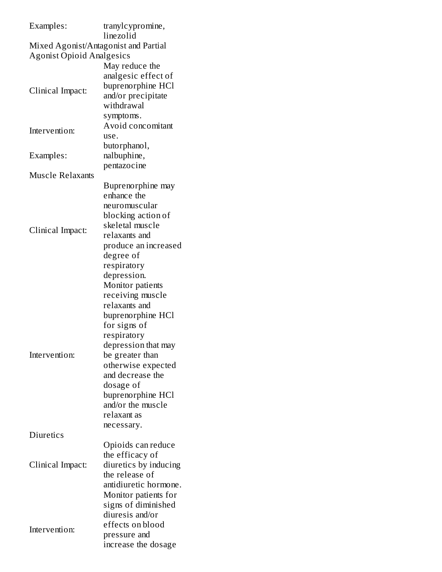| Examples:                                                                | tranylcypromine,<br>linezolid                                                                                                                                                                                                                                 |
|--------------------------------------------------------------------------|---------------------------------------------------------------------------------------------------------------------------------------------------------------------------------------------------------------------------------------------------------------|
| Mixed Agonist/Antagonist and Partial<br><b>Agonist Opioid Analgesics</b> |                                                                                                                                                                                                                                                               |
| Clinical Impact:                                                         | May reduce the<br>analgesic effect of<br>buprenorphine HCl<br>and/or precipitate<br>withdrawal                                                                                                                                                                |
| Intervention:                                                            | symptoms.<br>Avoid concomitant<br>use.                                                                                                                                                                                                                        |
| Examples:                                                                | butorphanol,<br>nalbuphine,<br>pentazocine                                                                                                                                                                                                                    |
| <b>Muscle Relaxants</b>                                                  |                                                                                                                                                                                                                                                               |
| Clinical Impact:                                                         | Buprenorphine may<br>enhance the<br>neuromuscular<br>blocking action of<br>skeletal muscle<br>relaxants and<br>produce an increased<br>degree of<br>respiratory<br>depression.<br>Monitor patients                                                            |
| Intervention:                                                            | receiving muscle<br>relaxants and<br>buprenorphine HCl<br>for signs of<br>respiratory<br>depression that may<br>be greater than<br>otherwise expected<br>and decrease the<br>dosage of<br>buprenorphine HCl<br>and/or the muscle<br>relaxant as<br>necessary. |
| <b>Diuretics</b>                                                         |                                                                                                                                                                                                                                                               |
|                                                                          | Opioids can reduce                                                                                                                                                                                                                                            |
| Clinical Impact:                                                         | the efficacy of<br>diuretics by inducing<br>the release of<br>antidiuretic hormone.<br>Monitor patients for                                                                                                                                                   |
| Intervention:                                                            | signs of diminished<br>diuresis and/or<br>effects on blood<br>pressure and<br>increase the dosage                                                                                                                                                             |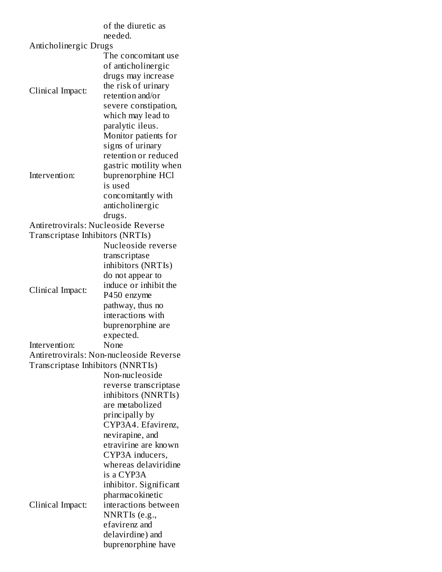|                                     | of the diuretic as                      |  |  |  |
|-------------------------------------|-----------------------------------------|--|--|--|
|                                     | needed.                                 |  |  |  |
| Anticholinergic Drugs               |                                         |  |  |  |
| The concomitant use                 |                                         |  |  |  |
|                                     | of anticholinergic                      |  |  |  |
|                                     |                                         |  |  |  |
|                                     | drugs may increase                      |  |  |  |
|                                     | the risk of urinary                     |  |  |  |
| Clinical Impact:                    | retention and/or                        |  |  |  |
|                                     | severe constipation,                    |  |  |  |
|                                     | which may lead to                       |  |  |  |
|                                     |                                         |  |  |  |
|                                     | paralytic ileus.                        |  |  |  |
|                                     | Monitor patients for                    |  |  |  |
|                                     | signs of urinary                        |  |  |  |
|                                     | retention or reduced                    |  |  |  |
|                                     | gastric motility when                   |  |  |  |
| Intervention:                       | buprenorphine HCl                       |  |  |  |
|                                     | is used                                 |  |  |  |
|                                     |                                         |  |  |  |
|                                     | concomitantly with                      |  |  |  |
|                                     | anticholinergic                         |  |  |  |
|                                     | drugs.                                  |  |  |  |
| Antiretrovirals: Nucleoside Reverse |                                         |  |  |  |
| Transcriptase Inhibitors (NRTIs)    |                                         |  |  |  |
|                                     | Nucleoside reverse                      |  |  |  |
|                                     |                                         |  |  |  |
|                                     | transcriptase                           |  |  |  |
|                                     | inhibitors (NRTIs)                      |  |  |  |
|                                     | do not appear to                        |  |  |  |
|                                     | induce or inhibit the                   |  |  |  |
| Clinical Impact:                    | P450 enzyme                             |  |  |  |
|                                     | pathway, thus no                        |  |  |  |
|                                     | interactions with                       |  |  |  |
|                                     |                                         |  |  |  |
|                                     | buprenorphine are                       |  |  |  |
|                                     | expected.                               |  |  |  |
| Intervention:                       | None                                    |  |  |  |
|                                     | Antiretrovirals: Non-nucleoside Reverse |  |  |  |
| Transcriptase Inhibitors (NNRTIs)   |                                         |  |  |  |
|                                     | Non-nucleoside                          |  |  |  |
|                                     | reverse transcriptase                   |  |  |  |
|                                     |                                         |  |  |  |
|                                     | inhibitors (NNRTIs)                     |  |  |  |
|                                     | are metabolized                         |  |  |  |
|                                     | principally by                          |  |  |  |
|                                     | CYP3A4. Efavirenz,                      |  |  |  |
|                                     | nevirapine, and                         |  |  |  |
|                                     | etravirine are known                    |  |  |  |
|                                     | CYP3A inducers,                         |  |  |  |
|                                     |                                         |  |  |  |
|                                     | whereas delaviridine                    |  |  |  |
|                                     | is a CYP3A                              |  |  |  |
|                                     | inhibitor. Significant                  |  |  |  |
|                                     | pharmacokinetic                         |  |  |  |
| Clinical Impact:                    | interactions between                    |  |  |  |
|                                     | NNRTIs (e.g.,                           |  |  |  |
|                                     | efavirenz and                           |  |  |  |
|                                     |                                         |  |  |  |
|                                     | delavirdine) and                        |  |  |  |
|                                     | buprenorphine have                      |  |  |  |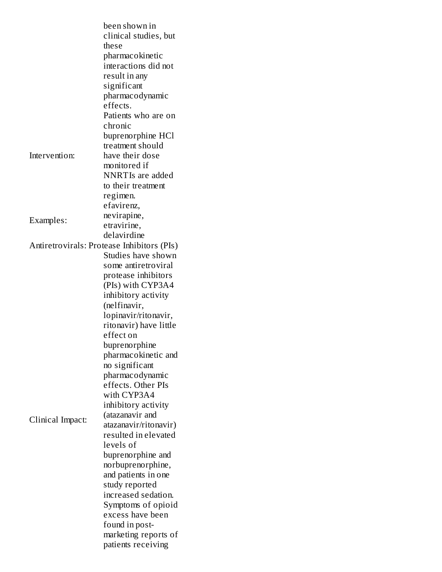|                  | been shown in                              |
|------------------|--------------------------------------------|
|                  | clinical studies, but                      |
|                  | these                                      |
|                  | pharmacokinetic                            |
|                  | interactions did not                       |
|                  | result in any                              |
|                  | significant                                |
|                  | pharmacodynamic                            |
|                  | effects.                                   |
|                  | Patients who are on                        |
|                  | chronic                                    |
|                  | buprenorphine HCl                          |
|                  | treatment should                           |
| Intervention:    | have their dose                            |
|                  | monitored if                               |
|                  | <b>NNRTIs</b> are added                    |
|                  |                                            |
|                  | to their treatment                         |
|                  | regimen.                                   |
|                  | efavirenz,                                 |
| Examples:        | nevirapine,                                |
|                  | etravirine,                                |
|                  | delavirdine                                |
|                  | Antiretrovirals: Protease Inhibitors (PIs) |
|                  | Studies have shown                         |
|                  | some antiretroviral                        |
|                  | protease inhibitors                        |
|                  | (PIs) with CYP3A4                          |
|                  | inhibitory activity                        |
|                  | (nelfinavir,                               |
|                  | lopinavir/ritonavir,                       |
|                  | ritonavir) have little<br>effect on        |
|                  |                                            |
|                  | buprenorphine                              |
|                  | pharmacokinetic and                        |
|                  | no significant                             |
|                  | pharmacodynamic<br>effects. Other PIs      |
|                  | with CYP3A4                                |
|                  |                                            |
|                  | inhibitory activity                        |
| Clinical Impact: | (atazanavir and                            |
|                  | atazanavir/ritonavir)                      |
|                  | resulted in elevated<br>levels of          |
|                  |                                            |
|                  | buprenorphine and                          |
|                  | norbuprenorphine,                          |
|                  | and patients in one                        |
|                  | study reported                             |
|                  | increased sedation.                        |
|                  | Symptoms of opioid                         |
|                  | excess have been                           |
|                  | found in post-                             |
|                  | marketing reports of                       |
|                  | patients receiving                         |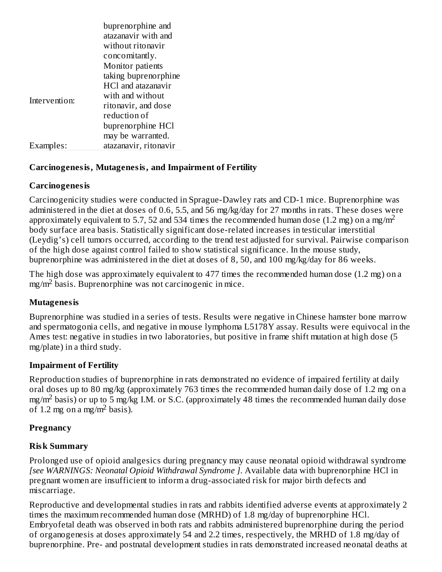|               | buprenorphine and         |
|---------------|---------------------------|
|               | atazanavir with and       |
|               | without ritonavir         |
|               | concomitantly.            |
|               | Monitor patients          |
|               | taking buprenorphine      |
|               | <b>HCl</b> and atazanavir |
|               | with and without          |
| Intervention: | ritonavir, and dose       |
|               | reduction of              |
|               | buprenorphine HCl         |
|               | may be warranted.         |
| Examples:     | atazanavir, ritonavir     |

### **Carcinogenesis, Mutagenesis, and Impairment of Fertility**

#### **Carcinogenesis**

Carcinogenicity studies were conducted in Sprague-Dawley rats and CD-1 mice. Buprenorphine was administered in the diet at doses of 0.6, 5.5, and 56 mg/kg/day for 27 months in rats. These doses were approximately equivalent to 5.7, 52 and 534 times the recommended human dose (1.2 mg) on a mg/m<sup>2</sup> body surface area basis. Statistically significant dose-related increases in testicular interstitial (Leydig's) cell tumors occurred, according to the trend test adjusted for survival. Pairwise comparison of the high dose against control failed to show statistical significance. In the mouse study, buprenorphine was administered in the diet at doses of 8, 50, and 100 mg/kg/day for 86 weeks.

The high dose was approximately equivalent to 477 times the recommended human dose (1.2 mg) on a  $mg/m<sup>2</sup>$  basis. Buprenorphine was not carcinogenic in mice.

#### **Mutagenesis**

Buprenorphine was studied in a series of tests. Results were negative in Chinese hamster bone marrow and spermatogonia cells, and negative in mouse lymphoma L5178Y assay. Results were equivocal in the Ames test: negative in studies in two laboratories, but positive in frame shift mutation at high dose (5 mg/plate) in a third study.

### **Impairment of Fertility**

Reproduction studies of buprenorphine in rats demonstrated no evidence of impaired fertility at daily oral doses up to 80 mg/kg (approximately 763 times the recommended human daily dose of 1.2 mg on a  $mg/m<sup>2</sup>$  basis) or up to 5 mg/kg I.M. or S.C. (approximately 48 times the recommended human daily dose of 1.2 mg on a mg/m<sup>2</sup> basis).

### **Pregnancy**

### **Risk Summary**

Prolonged use of opioid analgesics during pregnancy may cause neonatal opioid withdrawal syndrome *[see WARNINGS: Neonatal Opioid Withdrawal Syndrome ]*. Available data with buprenorphine HCl in pregnant women are insufficient to inform a drug-associated risk for major birth defects and miscarriage.

Reproductive and developmental studies in rats and rabbits identified adverse events at approximately 2 times the maximum recommended human dose (MRHD) of 1.8 mg/day of buprenorphine HCl. Embryofetal death was observed in both rats and rabbits administered buprenorphine during the period of organogenesis at doses approximately 54 and 2.2 times, respectively, the MRHD of 1.8 mg/day of buprenorphine. Pre- and postnatal development studies in rats demonstrated increased neonatal deaths at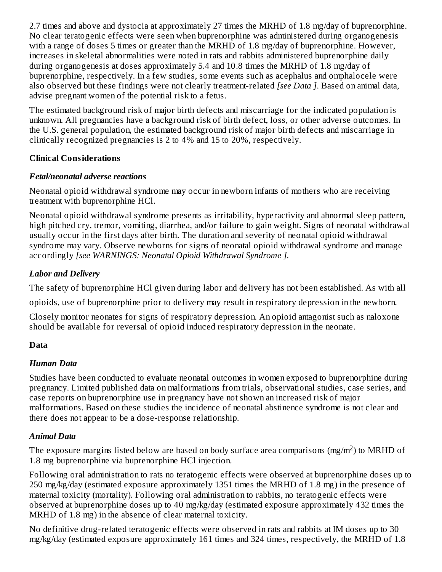2.7 times and above and dystocia at approximately 27 times the MRHD of 1.8 mg/day of buprenorphine. No clear teratogenic effects were seen when buprenorphine was administered during organogenesis with a range of doses 5 times or greater than the MRHD of 1.8 mg/day of buprenorphine. However, increases in skeletal abnormalities were noted in rats and rabbits administered buprenorphine daily during organogenesis at doses approximately 5.4 and 10.8 times the MRHD of 1.8 mg/day of buprenorphine, respectively. In a few studies, some events such as acephalus and omphalocele were also observed but these findings were not clearly treatment-related *[see Data ]*. Based on animal data, advise pregnant women of the potential risk to a fetus.

The estimated background risk of major birth defects and miscarriage for the indicated population is unknown. All pregnancies have a background risk of birth defect, loss, or other adverse outcomes. In the U.S. general population, the estimated background risk of major birth defects and miscarriage in clinically recognized pregnancies is 2 to 4% and 15 to 20%, respectively.

## **Clinical Considerations**

### *Fetal/neonatal adverse reactions*

Neonatal opioid withdrawal syndrome may occur in newborn infants of mothers who are receiving treatment with buprenorphine HCl.

Neonatal opioid withdrawal syndrome presents as irritability, hyperactivity and abnormal sleep pattern, high pitched cry, tremor, vomiting, diarrhea, and/or failure to gain weight. Signs of neonatal withdrawal usually occur in the first days after birth. The duration and severity of neonatal opioid withdrawal syndrome may vary. Observe newborns for signs of neonatal opioid withdrawal syndrome and manage accordingly *[see WARNINGS: Neonatal Opioid Withdrawal Syndrome ].*

## *Labor and Delivery*

The safety of buprenorphine HCl given during labor and delivery has not been established. As with all

opioids, use of buprenorphine prior to delivery may result in respiratory depression in the newborn.

Closely monitor neonates for signs of respiratory depression. An opioid antagonist such as naloxone should be available for reversal of opioid induced respiratory depression in the neonate.

## **Data**

## *Human Data*

Studies have been conducted to evaluate neonatal outcomes in women exposed to buprenorphine during pregnancy. Limited published data on malformations from trials, observational studies, case series, and case reports on buprenorphine use in pregnancy have not shown an increased risk of major malformations. Based on these studies the incidence of neonatal abstinence syndrome is not clear and there does not appear to be a dose-response relationship.

## *Animal Data*

The exposure margins listed below are based on body surface area comparisons (mg/m<sup>2</sup>) to MRHD of 1.8 mg buprenorphine via buprenorphine HCl injection.

Following oral administration to rats no teratogenic effects were observed at buprenorphine doses up to 250 mg/kg/day (estimated exposure approximately 1351 times the MRHD of 1.8 mg) in the presence of maternal toxicity (mortality). Following oral administration to rabbits, no teratogenic effects were observed at buprenorphine doses up to 40 mg/kg/day (estimated exposure approximately 432 times the MRHD of 1.8 mg) in the absence of clear maternal toxicity.

No definitive drug-related teratogenic effects were observed in rats and rabbits at IM doses up to 30 mg/kg/day (estimated exposure approximately 161 times and 324 times, respectively, the MRHD of 1.8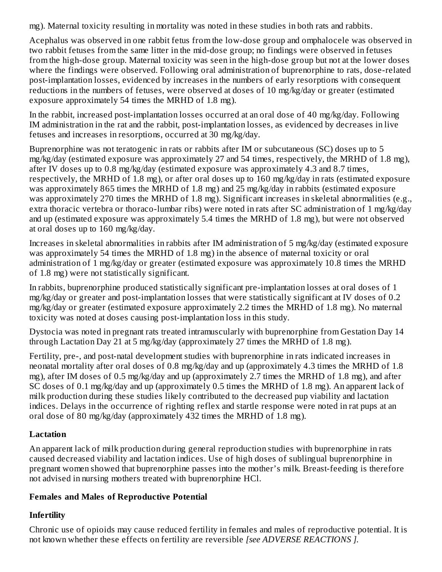mg). Maternal toxicity resulting in mortality was noted in these studies in both rats and rabbits.

Acephalus was observed in one rabbit fetus from the low-dose group and omphalocele was observed in two rabbit fetuses from the same litter in the mid-dose group; no findings were observed in fetuses from the high-dose group. Maternal toxicity was seen in the high-dose group but not at the lower doses where the findings were observed. Following oral administration of buprenorphine to rats, dose-related post-implantation losses, evidenced by increases in the numbers of early resorptions with consequent reductions in the numbers of fetuses, were observed at doses of 10 mg/kg/day or greater (estimated exposure approximately 54 times the MRHD of 1.8 mg).

In the rabbit, increased post-implantation losses occurred at an oral dose of 40 mg/kg/day. Following IM administration in the rat and the rabbit, post-implantation losses, as evidenced by decreases in live fetuses and increases in resorptions, occurred at 30 mg/kg/day.

Buprenorphine was not teratogenic in rats or rabbits after IM or subcutaneous (SC) doses up to 5 mg/kg/day (estimated exposure was approximately 27 and 54 times, respectively, the MRHD of 1.8 mg), after IV doses up to 0.8 mg/kg/day (estimated exposure was approximately 4.3 and 8.7 times, respectively, the MRHD of 1.8 mg), or after oral doses up to 160 mg/kg/day in rats (estimated exposure was approximately 865 times the MRHD of 1.8 mg) and 25 mg/kg/day in rabbits (estimated exposure was approximately 270 times the MRHD of 1.8 mg). Significant increases in skeletal abnormalities (e.g., extra thoracic vertebra or thoraco-lumbar ribs) were noted in rats after SC administration of 1 mg/kg/day and up (estimated exposure was approximately 5.4 times the MRHD of 1.8 mg), but were not observed at oral doses up to 160 mg/kg/day.

Increases in skeletal abnormalities in rabbits after IM administration of 5 mg/kg/day (estimated exposure was approximately 54 times the MRHD of 1.8 mg) in the absence of maternal toxicity or oral administration of 1 mg/kg/day or greater (estimated exposure was approximately 10.8 times the MRHD of 1.8 mg) were not statistically significant.

In rabbits, buprenorphine produced statistically significant pre-implantation losses at oral doses of 1 mg/kg/day or greater and post-implantation losses that were statistically significant at IV doses of 0.2 mg/kg/day or greater (estimated exposure approximately 2.2 times the MRHD of 1.8 mg). No maternal toxicity was noted at doses causing post-implantation loss in this study.

Dystocia was noted in pregnant rats treated intramuscularly with buprenorphine from Gestation Day 14 through Lactation Day 21 at 5 mg/kg/day (approximately 27 times the MRHD of 1.8 mg).

Fertility, pre-, and post-natal development studies with buprenorphine in rats indicated increases in neonatal mortality after oral doses of 0.8 mg/kg/day and up (approximately 4.3 times the MRHD of 1.8 mg), after IM doses of 0.5 mg/kg/day and up (approximately 2.7 times the MRHD of 1.8 mg), and after SC doses of 0.1 mg/kg/day and up (approximately 0.5 times the MRHD of 1.8 mg). An apparent lack of milk production during these studies likely contributed to the decreased pup viability and lactation indices. Delays in the occurrence of righting reflex and startle response were noted in rat pups at an oral dose of 80 mg/kg/day (approximately 432 times the MRHD of 1.8 mg).

# **Lactation**

An apparent lack of milk production during general reproduction studies with buprenorphine in rats caused decreased viability and lactation indices. Use of high doses of sublingual buprenorphine in pregnant women showed that buprenorphine passes into the mother's milk. Breast-feeding is therefore not advised in nursing mothers treated with buprenorphine HCl.

## **Females and Males of Reproductive Potential**

# **Infertility**

Chronic use of opioids may cause reduced fertility in females and males of reproductive potential. It is not known whether these effects on fertility are reversible *[see ADVERSE REACTIONS ].*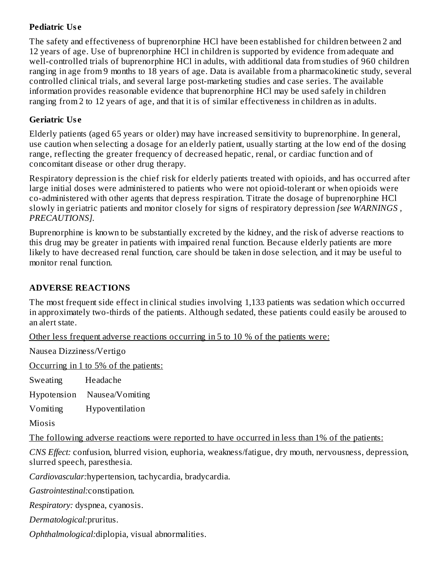### **Pediatric Us e**

The safety and effectiveness of buprenorphine HCl have been established for children between 2 and 12 years of age. Use of buprenorphine HCl in children is supported by evidence from adequate and well-controlled trials of buprenorphine HCl in adults, with additional data from studies of 960 children ranging in age from 9 months to 18 years of age. Data is available from a pharmacokinetic study, several controlled clinical trials, and several large post-marketing studies and case series. The available information provides reasonable evidence that buprenorphine HCl may be used safely in children ranging from 2 to 12 years of age, and that it is of similar effectiveness in children as in adults.

### **Geriatric Us e**

Elderly patients (aged 65 years or older) may have increased sensitivity to buprenorphine. In general, use caution when selecting a dosage for an elderly patient, usually starting at the low end of the dosing range, reflecting the greater frequency of decreased hepatic, renal, or cardiac function and of concomitant disease or other drug therapy.

Respiratory depression is the chief risk for elderly patients treated with opioids, and has occurred after large initial doses were administered to patients who were not opioid-tolerant or when opioids were co-administered with other agents that depress respiration. Titrate the dosage of buprenorphine HCl slowly in geriatric patients and monitor closely for signs of respiratory depression *[see WARNINGS , PRECAUTIONS].*

Buprenorphine is known to be substantially excreted by the kidney, and the risk of adverse reactions to this drug may be greater in patients with impaired renal function. Because elderly patients are more likely to have decreased renal function, care should be taken in dose selection, and it may be useful to monitor renal function.

### **ADVERSE REACTIONS**

The most frequent side effect in clinical studies involving 1,133 patients was sedation which occurred in approximately two-thirds of the patients. Although sedated, these patients could easily be aroused to an alert state.

Other less frequent adverse reactions occurring in 5 to 10 % of the patients were:

Nausea Dizziness/Vertigo

Occurring in 1 to 5% of the patients:

Sweating Headache

Hypotension Nausea/Vomiting

Vomiting Hypoventilation

Miosis

The following adverse reactions were reported to have occurred in less than 1% of the patients:

*CNS Effect:* confusion, blurred vision, euphoria, weakness/fatigue, dry mouth, nervousness, depression, slurred speech, paresthesia.

*Cardiovascular:*hypertension, tachycardia, bradycardia.

*Gastrointestinal:*constipation.

*Respiratory:* dyspnea, cyanosis.

*Dermatological:*pruritus.

*Ophthalmological:*diplopia, visual abnormalities.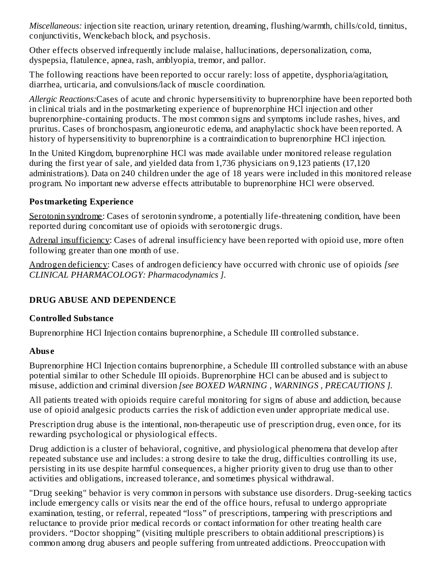*Miscellaneous:* injection site reaction, urinary retention, dreaming, flushing/warmth, chills/cold, tinnitus, conjunctivitis, Wenckebach block, and psychosis.

Other effects observed infrequently include malaise, hallucinations, depersonalization, coma, dyspepsia, flatulence, apnea, rash, amblyopia, tremor, and pallor.

The following reactions have been reported to occur rarely: loss of appetite, dysphoria/agitation, diarrhea, urticaria, and convulsions/lack of muscle coordination.

*Allergic Reactions:*Cases of acute and chronic hypersensitivity to buprenorphine have been reported both in clinical trials and in the postmarketing experience of buprenorphine HCl injection and other buprenorphine-containing products. The most common signs and symptoms include rashes, hives, and pruritus. Cases of bronchospasm, angioneurotic edema, and anaphylactic shock have been reported. A history of hypersensitivity to buprenorphine is a contraindication to buprenorphine HCl injection.

In the United Kingdom, buprenorphine HCl was made available under monitored release regulation during the first year of sale, and yielded data from 1,736 physicians on 9,123 patients (17,120 administrations). Data on 240 children under the age of 18 years were included in this monitored release program. No important new adverse effects attributable to buprenorphine HCl were observed.

### **Postmarketing Experience**

Serotonin syndrome: Cases of serotonin syndrome, a potentially life-threatening condition, have been reported during concomitant use of opioids with serotonergic drugs.

Adrenal insufficiency: Cases of adrenal insufficiency have been reported with opioid use, more often following greater than one month of use.

Androgen deficiency: Cases of androgen deficiency have occurred with chronic use of opioids *[see CLINICAL PHARMACOLOGY: Pharmacodynamics ]*.

## **DRUG ABUSE AND DEPENDENCE**

## **Controlled Substance**

Buprenorphine HCl Injection contains buprenorphine, a Schedule III controlled substance.

## **Abus e**

Buprenorphine HCl Injection contains buprenorphine, a Schedule III controlled substance with an abuse potential similar to other Schedule III opioids. Buprenorphine HCl can be abused and is subject to misuse, addiction and criminal diversion *[see BOXED WARNING , WARNINGS , PRECAUTIONS ].*

All patients treated with opioids require careful monitoring for signs of abuse and addiction, because use of opioid analgesic products carries the risk of addiction even under appropriate medical use.

Prescription drug abuse is the intentional, non-therapeutic use of prescription drug, even once, for its rewarding psychological or physiological effects.

Drug addiction is a cluster of behavioral, cognitive, and physiological phenomena that develop after repeated substance use and includes: a strong desire to take the drug, difficulties controlling its use, persisting in its use despite harmful consequences, a higher priority given to drug use than to other activities and obligations, increased tolerance, and sometimes physical withdrawal.

"Drug seeking" behavior is very common in persons with substance use disorders. Drug-seeking tactics include emergency calls or visits near the end of the office hours, refusal to undergo appropriate examination, testing, or referral, repeated "loss" of prescriptions, tampering with prescriptions and reluctance to provide prior medical records or contact information for other treating health care providers. "Doctor shopping" (visiting multiple prescribers to obtain additional prescriptions) is common among drug abusers and people suffering from untreated addictions. Preoccupation with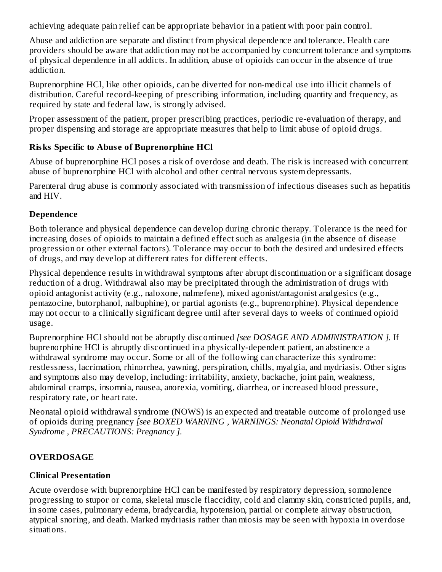achieving adequate pain relief can be appropriate behavior in a patient with poor pain control.

Abuse and addiction are separate and distinct from physical dependence and tolerance. Health care providers should be aware that addiction may not be accompanied by concurrent tolerance and symptoms of physical dependence in all addicts. In addition, abuse of opioids can occur in the absence of true addiction.

Buprenorphine HCl, like other opioids, can be diverted for non-medical use into illicit channels of distribution. Careful record-keeping of prescribing information, including quantity and frequency, as required by state and federal law, is strongly advised.

Proper assessment of the patient, proper prescribing practices, periodic re-evaluation of therapy, and proper dispensing and storage are appropriate measures that help to limit abuse of opioid drugs.

## **Risks Specific to Abus e of Buprenorphine HCl**

Abuse of buprenorphine HCl poses a risk of overdose and death. The risk is increased with concurrent abuse of buprenorphine HCl with alcohol and other central nervous system depressants.

Parenteral drug abuse is commonly associated with transmission of infectious diseases such as hepatitis and HIV.

## **Dependence**

Both tolerance and physical dependence can develop during chronic therapy. Tolerance is the need for increasing doses of opioids to maintain a defined effect such as analgesia (in the absence of disease progression or other external factors). Tolerance may occur to both the desired and undesired effects of drugs, and may develop at different rates for different effects.

Physical dependence results in withdrawal symptoms after abrupt discontinuation or a significant dosage reduction of a drug. Withdrawal also may be precipitated through the administration of drugs with opioid antagonist activity (e.g., naloxone, nalmefene), mixed agonist/antagonist analgesics (e.g., pentazocine, butorphanol, nalbuphine), or partial agonists (e.g., buprenorphine). Physical dependence may not occur to a clinically significant degree until after several days to weeks of continued opioid usage.

Buprenorphine HCl should not be abruptly discontinued *[see DOSAGE AND ADMINISTRATION ].* If buprenorphine HCl is abruptly discontinued in a physically-dependent patient, an abstinence a withdrawal syndrome may occur. Some or all of the following can characterize this syndrome: restlessness, lacrimation, rhinorrhea, yawning, perspiration, chills, myalgia, and mydriasis. Other signs and symptoms also may develop, including: irritability, anxiety, backache, joint pain, weakness, abdominal cramps, insomnia, nausea, anorexia, vomiting, diarrhea, or increased blood pressure, respiratory rate, or heart rate.

Neonatal opioid withdrawal syndrome (NOWS) is an expected and treatable outcome of prolonged use of opioids during pregnancy *[see BOXED WARNING , WARNINGS: Neonatal Opioid Withdrawal Syndrome , PRECAUTIONS: Pregnancy ].*

## **OVERDOSAGE**

## **Clinical Pres entation**

Acute overdose with buprenorphine HCl can be manifested by respiratory depression, somnolence progressing to stupor or coma, skeletal muscle flaccidity, cold and clammy skin, constricted pupils, and, in some cases, pulmonary edema, bradycardia, hypotension, partial or complete airway obstruction, atypical snoring, and death. Marked mydriasis rather than miosis may be seen with hypoxia in overdose situations.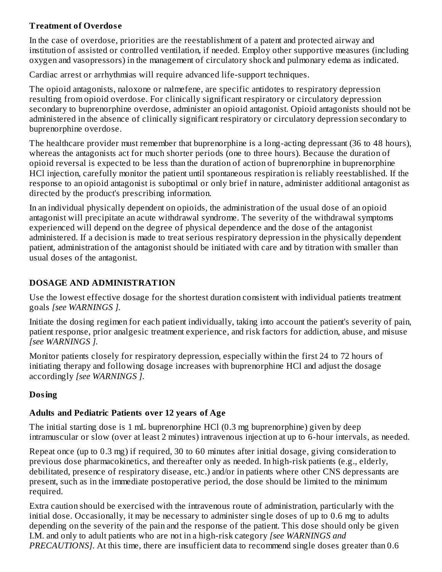## **Treatment of Overdos e**

In the case of overdose, priorities are the reestablishment of a patent and protected airway and institution of assisted or controlled ventilation, if needed. Employ other supportive measures (including oxygen and vasopressors) in the management of circulatory shock and pulmonary edema as indicated.

Cardiac arrest or arrhythmias will require advanced life-support techniques.

The opioid antagonists, naloxone or nalmefene, are specific antidotes to respiratory depression resulting from opioid overdose. For clinically significant respiratory or circulatory depression secondary to buprenorphine overdose, administer an opioid antagonist. Opioid antagonists should not be administered in the absence of clinically significant respiratory or circulatory depression secondary to buprenorphine overdose.

The healthcare provider must remember that buprenorphine is a long-acting depressant (36 to 48 hours), whereas the antagonists act for much shorter periods (one to three hours). Because the duration of opioid reversal is expected to be less than the duration of action of buprenorphine in buprenorphine HCl injection, carefully monitor the patient until spontaneous respiration is reliably reestablished. If the response to an opioid antagonist is suboptimal or only brief in nature, administer additional antagonist as directed by the product's prescribing information.

In an individual physically dependent on opioids, the administration of the usual dose of an opioid antagonist will precipitate an acute withdrawal syndrome. The severity of the withdrawal symptoms experienced will depend on the degree of physical dependence and the dose of the antagonist administered. If a decision is made to treat serious respiratory depression in the physically dependent patient, administration of the antagonist should be initiated with care and by titration with smaller than usual doses of the antagonist.

### **DOSAGE AND ADMINISTRATION**

Use the lowest effective dosage for the shortest duration consistent with individual patients treatment goals *[see WARNINGS ].*

Initiate the dosing regimen for each patient individually, taking into account the patient's severity of pain, patient response, prior analgesic treatment experience, and risk factors for addiction, abuse, and misuse *[see WARNINGS ].*

Monitor patients closely for respiratory depression, especially within the first 24 to 72 hours of initiating therapy and following dosage increases with buprenorphine HCl and adjust the dosage accordingly *[see WARNINGS ]*.

## **Dosing**

## **Adults and Pediatric Patients over 12 years of Age**

The initial starting dose is 1 mL buprenorphine HCl (0.3 mg buprenorphine) given by deep intramuscular or slow (over at least 2 minutes) intravenous injection at up to 6-hour intervals, as needed.

Repeat once (up to 0.3 mg) if required, 30 to 60 minutes after initial dosage, giving consideration to previous dose pharmacokinetics, and thereafter only as needed. In high-risk patients (e.g., elderly, debilitated, presence of respiratory disease, etc.) and/or in patients where other CNS depressants are present, such as in the immediate postoperative period, the dose should be limited to the minimum required.

Extra caution should be exercised with the intravenous route of administration, particularly with the initial dose. Occasionally, it may be necessary to administer single doses of up to 0.6 mg to adults depending on the severity of the pain and the response of the patient. This dose should only be given I.M. and only to adult patients who are not in a high-risk category *[see WARNINGS and PRECAUTIONS]*. At this time, there are insufficient data to recommend single doses greater than 0.6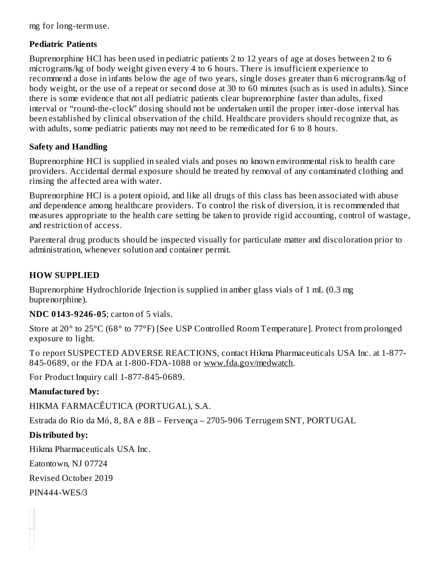mg for long-term use.

#### **Pediatric Patients**

Buprenorphine HCl has been used in pediatric patients 2 to 12 years of age at doses between 2 to 6 micrograms/kg of body weight given every 4 to 6 hours. There is insufficient experience to recommend a dose in infants below the age of two years, single doses greater than 6 micrograms/kg of body weight, or the use of a repeat or second dose at 30 to 60 minutes (such as is used in adults). Since there is some evidence that not all pediatric patients clear buprenorphine faster than adults, fixed interval or "round-the-clock" dosing should not be undertaken until the proper inter-dose interval has been established by clinical observation of the child. Healthcare providers should recognize that, as with adults, some pediatric patients may not need to be remedicated for 6 to 8 hours.

### **Safety and Handling**

Buprenorphine HCl is supplied in sealed vials and poses no known environmental risk to health care providers. Accidental dermal exposure should be treated by removal of any contaminated clothing and rinsing the affected area with water.

Buprenorphine HCl is a potent opioid, and like all drugs of this class has been associated with abuse and dependence among healthcare providers. To control the risk of diversion, it is recommended that measures appropriate to the health care setting be taken to provide rigid accounting, control of wastage, and restriction of access.

Parenteral drug products should be inspected visually for particulate matter and discoloration prior to administration, whenever solution and container permit.

### **HOW SUPPLIED**

Buprenorphine Hydrochloride Injection is supplied in amber glass vials of 1 mL (0.3 mg buprenorphine).

### **NDC 0143-9246-05**; carton of 5 vials.

Store at 20° to 25°C (68° to 77°F) [See USP Controlled Room Temperature]. Protect from prolonged exposure to light.

To report SUSPECTED ADVERSE REACTIONS, contact Hikma Pharmaceuticals USA Inc. at 1-877- 845-0689, or the FDA at 1-800-FDA-1088 or www.fda.gov/medwatch.

For Product Inquiry call 1-877-845-0689.

### **Manufactured by:**

HIKMA FARMACÊUTICA (PORTUGAL), S.A.

Estrada do Rio da Mó, 8, 8A e 8B – Fervença – 2705-906 Terrugem SNT, PORTUGAL

### **Distributed by:**

Hikma Pharmaceuticals USA Inc.

Eatontown, NJ 07724

Revised October 2019

PIN444-WES/3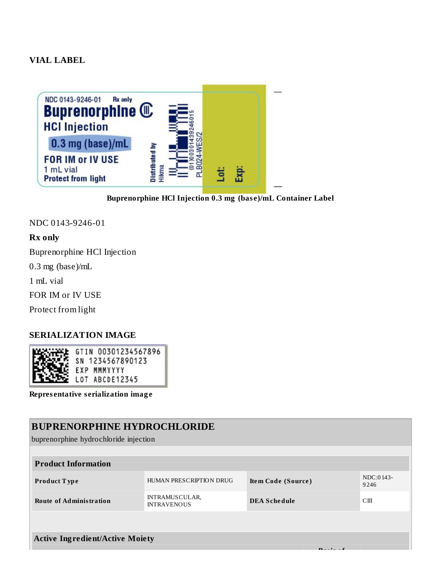**VIAL LABEL**



#### **Buprenorphine HCl Injection 0.3 mg (bas e)/mL Container Label**

NDC 0143-9246-01

#### **Rx only**

Buprenorphine HCl Injection

0.3 mg (base)/mL

1 mL vial

FOR IM or IV USE

Protect from light

### **SERIALIZATION IMAGE**



**Repres entative s erialization imag e**

### **BUPRENORPHINE HYDROCHLORIDE**

buprenorphine hydrochloride injection

| <b>Product Information</b>     |                                      |                     |                   |  |
|--------------------------------|--------------------------------------|---------------------|-------------------|--|
| <b>Product Type</b>            | HUMAN PRESCRIPTION DRUG              | Item Code (Source)  | NDC:0143-<br>9246 |  |
| <b>Route of Administration</b> | INTRAMUSCULAR,<br><b>INTRAVENOUS</b> | <b>DEA Schedule</b> | CШ                |  |
|                                |                                      |                     |                   |  |

**Basis of**

**Active Ingredient/Active Moiety**